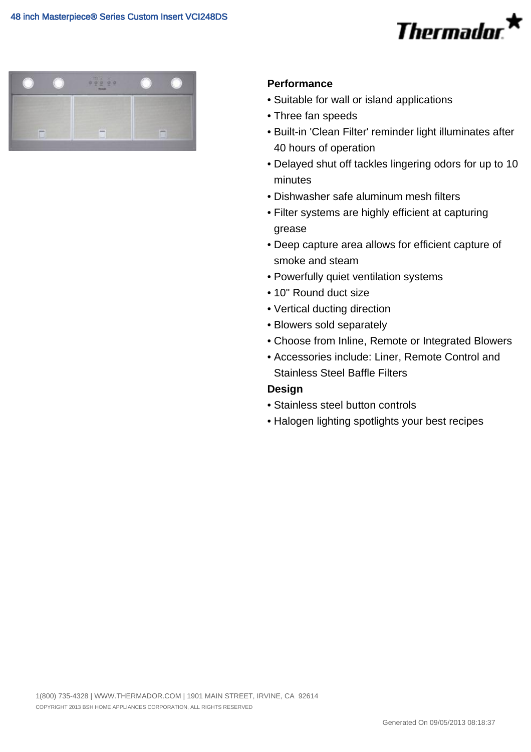# Thermador



## **Performance**

- Suitable for wall or island applications
- Three fan speeds
- Built-in 'Clean Filter' reminder light illuminates after 40 hours of operation
- Delayed shut off tackles lingering odors for up to 10 minutes
- Dishwasher safe aluminum mesh filters
- Filter systems are highly efficient at capturing grease
- Deep capture area allows for efficient capture of smoke and steam
- Powerfully quiet ventilation systems
- 10" Round duct size
- Vertical ducting direction
- Blowers sold separately
- Choose from Inline, Remote or Integrated Blowers
- Accessories include: Liner, Remote Control and Stainless Steel Baffle Filters

## **Design**

- Stainless steel button controls
- Halogen lighting spotlights your best recipes